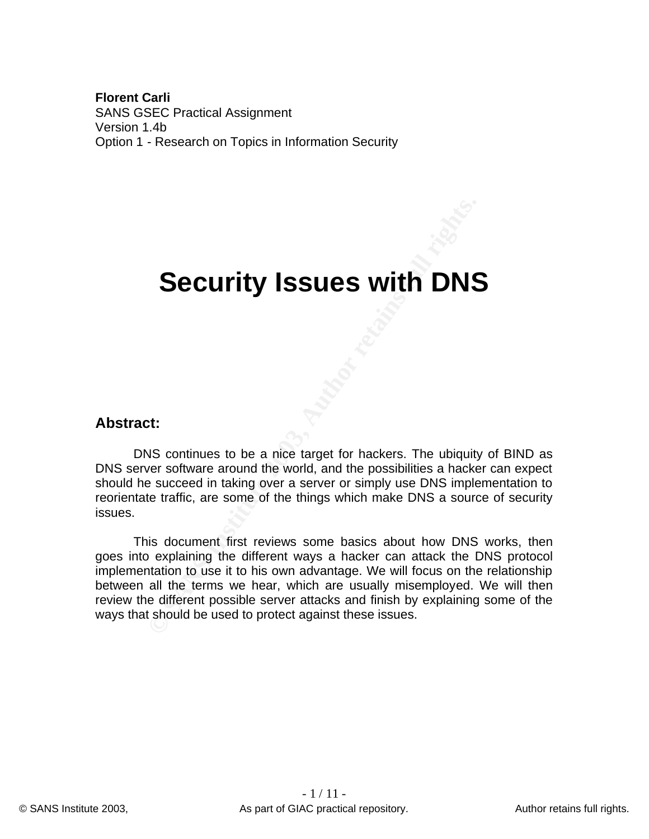**Florent Carli** SANS GSEC Practical Assignment Version 1.4b Option 1 - Research on Topics in Information Security

# **Security Issues with DNS**

#### **Abstract:**

DNS continues to be a nice target for hackers. The ubiquity of BIND as DNS server software around the world, and the possibilities a hacker can expect should he succeed in taking over a server or simply use DNS implementation to reorientate traffic, are some of the things which make DNS a source of security issues.

**Security Issues with DNS**<br>Security Issues With DNS<br>
outinues to be a nice target for hackers. The ubiquity<br>
out continues around the world, and the possibilities a hacker<br>
a succeed in taking over a server or simply use D This document first reviews some basics about how DNS works, then goes into explaining the different ways a hacker can attack the DNS protocol implementation to use it to his own advantage. We will focus on the relationship between all the terms we hear, which are usually misemployed. We will then review the different possible server attacks and finish by explaining some of the ways that should be used to protect against these issues.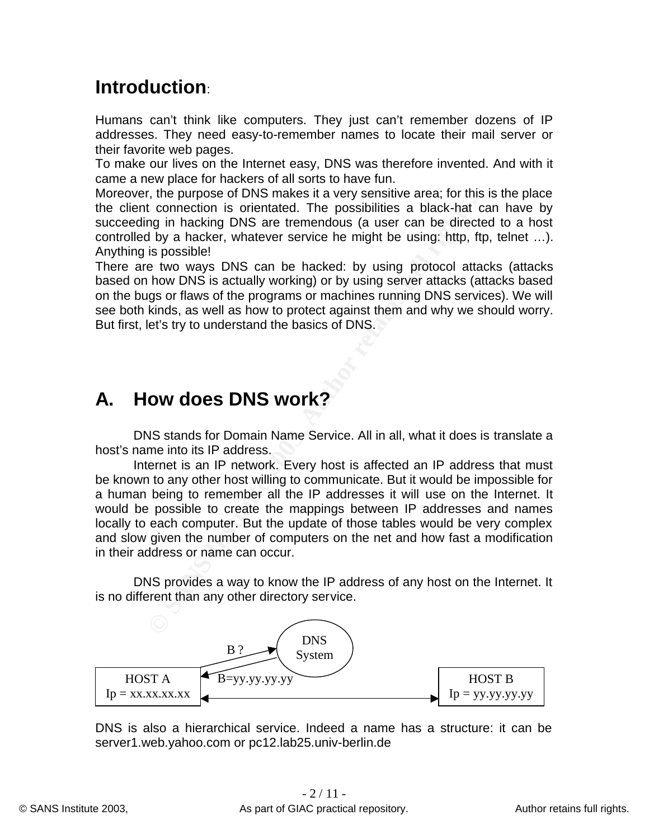### $\blacksquare$ **Introduction:**

Humans can't think like computers. They just can't remember dozens of IP addresses. They need easy-to-remember names to locate their mail server or their favorite web pages.

To make our lives on the Internet easy, DNS was therefore invented. And with it came a new place for hackers of all sorts to have fun.

Moreover, the purpose of DNS makes it a very sensitive area; for this is the place the client connection is orientated. The possibilities a black-hat can have by succeeding in hacking DNS are tremendous (a user can be directed to a host controlled by a hacker, whatever service he might be using: http, ftp, telnet …). Anything is possible!

There are two ways DNS can be hacked: by using protocol attacks (attacks based on how DNS is actually working) or by using server attacks (attacks based on the bugs or flaws of the programs or machines running DNS services). We will see both kinds, as well as how to protect against them and why we should worry. But first, let's try to understand the basics of DNS.

## **A. How does DNS work?**

DNS stands for Domain Name Service. All in all, what it does is translate a host's name into its IP address.

It connection is orientated. The possibilities a black-hat of goin in hacking DNS are tremendous (a user can be direct is by a hacker, whatever service he might be using: http, fill by a hacker, whatever service he might b Internet is an IP network. Every host is affected an IP address that must be known to any other host willing to communicate. But it would be impossible for a human being to remember all the IP addresses it will use on the Internet. It would be possible to create the mappings between IP addresses and names locally to each computer. But the update of those tables would be very complex and slow given the number of computers on the net and how fast a modification in their address or name can occur.

DNS provides a way to know the IP address of any host on the Internet. It is no different than any other directory service.



DNS is also a hierarchical service. Indeed a name has a structure: it can be server1.web.yahoo.com or pc12.lab25.univ-berlin.de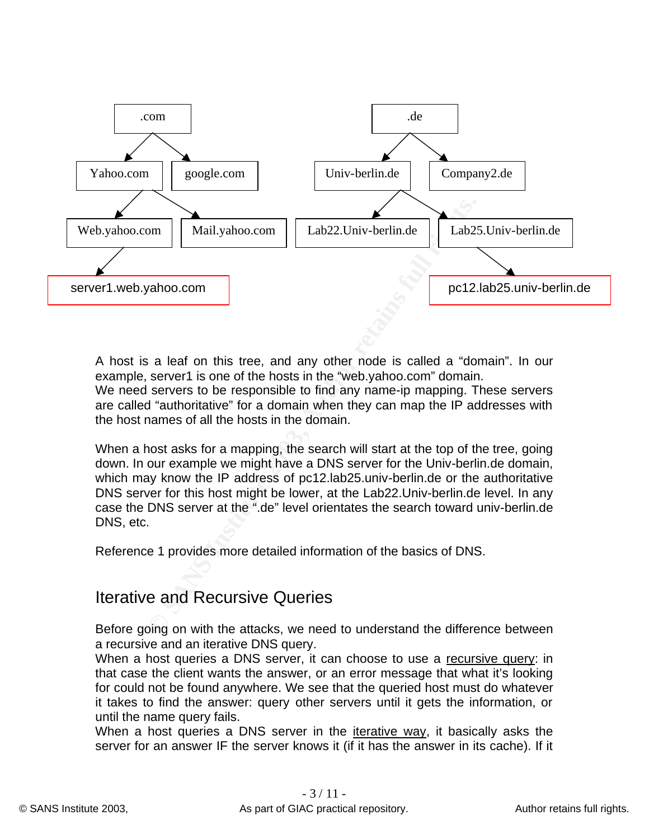

A host is a leaf on this tree, and any other node is called a "domain". In our example, server1 is one of the hosts in the "web.yahoo.com" domain. We need servers to be responsible to find any name-ip mapping. These servers are called "authoritative" for a domain when they can map the IP addresses with the host names of all the hosts in the domain.

When a host asks for a mapping, the search will start at the top of the tree, going down. In our example we might have a DNS server for the Univ-berlin.de domain, which may know the IP address of pc12.lab25.univ-berlin.de or the authoritative DNS server for this host might be lower, at the Lab22.Univ-berlin.de level. In any case the DNS server at the ".de" level orientates the search toward univ-berlin.de DNS, etc.

Reference 1 provides more detailed information of the basics of DNS.

#### Iterative and Recursive Queries

Before going on with the attacks, we need to understand the difference between a recursive and an iterative DNS query.

When a host queries a DNS server, it can choose to use a recursive query: in that case the client wants the answer, or an error message that what it's looking for could not be found anywhere. We see that the queried host must do whatever it takes to find the answer: query other servers until it gets the information, or until the name query fails.

When a host queries a DNS server in the iterative way, it basically asks the server for an answer IF the server knows it (if it has the answer in its cache). If it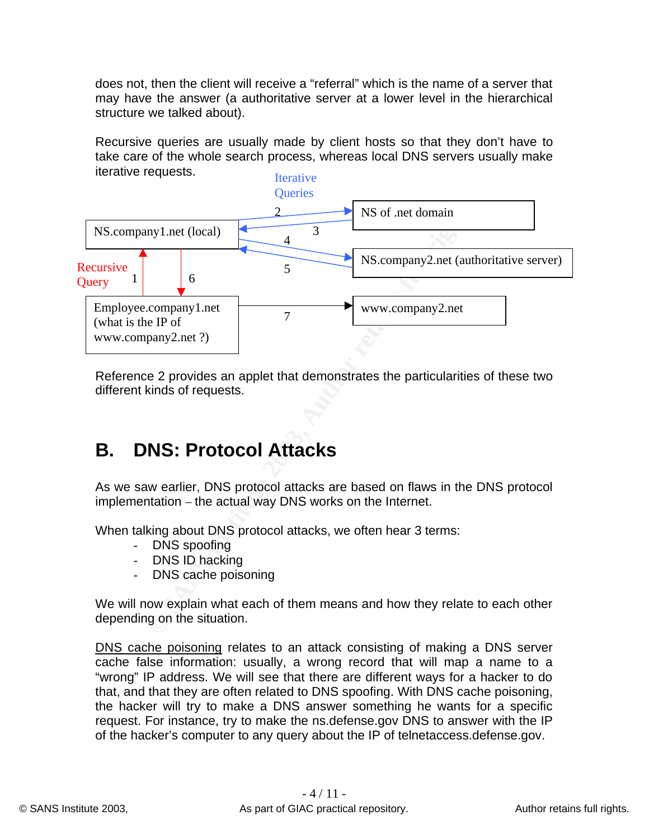does not, then the client will receive a "referral" which is the name of a server that may have the answer (a authoritative server at a lower level in the hierarchical structure we talked about).

Recursive queries are usually made by client hosts so that they don't have to take care of the whole search process, whereas local DNS servers usually make iterative requests. **Iterative** 



Reference 2 provides an applet that demonstrates the particularities of these two different kinds of requests.

### **B. DNS: Protocol Attacks**

As we saw earlier, DNS protocol attacks are based on flaws in the DNS protocol implementation – the actual way DNS works on the Internet.

When talking about DNS protocol attacks, we often hear 3 terms:

- DNS spoofing
- DNS ID hacking
- DNS cache poisoning

We will now explain what each of them means and how they relate to each other depending on the situation.

DNS cache poisoning relates to an attack consisting of making a DNS server cache false information: usually, a wrong record that will map a name to a "wrong" IP address. We will see that there are different ways for a hacker to do that, and that they are often related to DNS spoofing. With DNS cache poisoning, the hacker will try to make a DNS answer something he wants for a specific request. For instance, try to make the ns.defense.gov DNS to answer with the IP of the hacker's computer to any query about the IP of telnetaccess.defense.gov.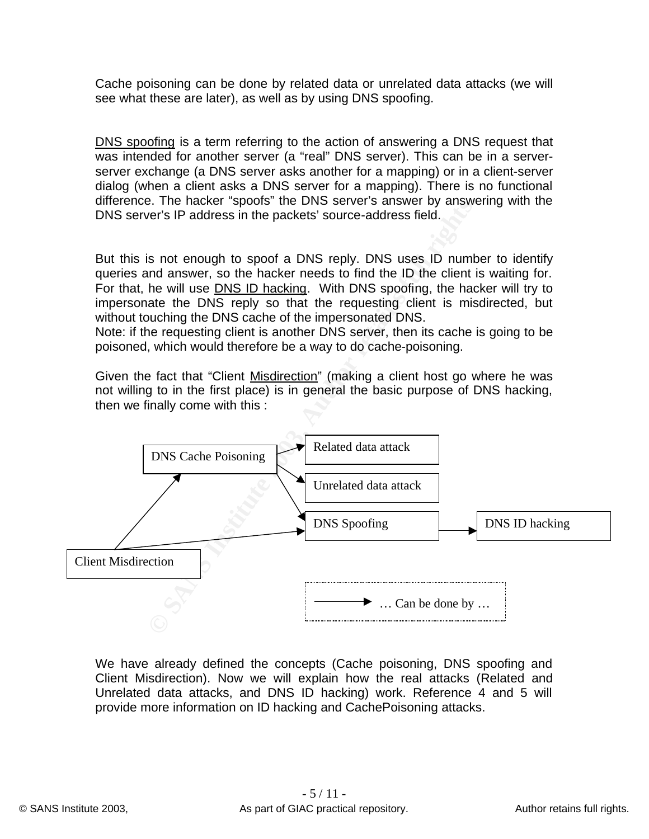Cache poisoning can be done by related data or unrelated data attacks (we will see what these are later), as well as by using DNS spoofing.

DNS spoofing is a term referring to the action of answering a DNS request that was intended for another server (a "real" DNS server). This can be in a serverserver exchange (a DNS server asks another for a mapping) or in a client-server dialog (when a client asks a DNS server for a mapping). There is no functional difference. The hacker "spoofs" the DNS server's answer by answering with the DNS server's IP address in the packets' source-address field.

But this is not enough to spoof a DNS reply. DNS uses ID number to identify queries and answer, so the hacker needs to find the ID the client is waiting for. For that, he will use DNS ID hacking. With DNS spoofing, the hacker will try to impersonate the DNS reply so that the requesting client is misdirected, but without touching the DNS cache of the impersonated DNS.

Note: if the requesting client is another DNS server, then its cache is going to be poisoned, which would therefore be a way to do cache-poisoning.

Given the fact that "Client Misdirection" (making a client host go where he was not willing to in the first place) is in general the basic purpose of DNS hacking, then we finally come with this :



We have already defined the concepts (Cache poisoning, DNS spoofing and Client Misdirection). Now we will explain how the real attacks (Related and Unrelated data attacks, and DNS ID hacking) work. Reference 4 and 5 will provide more information on ID hacking and CachePoisoning attacks.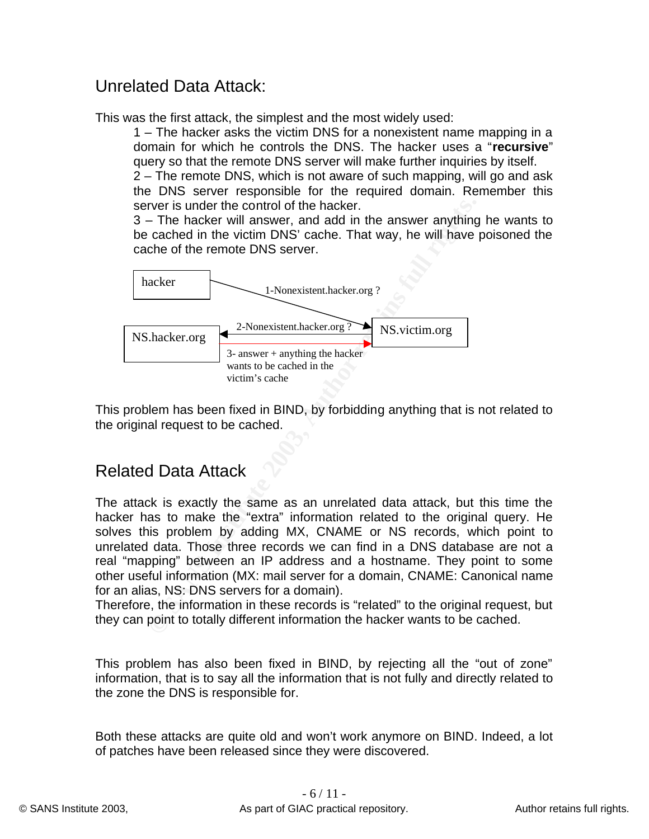#### Unrelated Data Attack: Entertainment of the 3D Fa37 898 998

This was the first attack, the simplest and the most widely used:

1 – The hacker asks the victim DNS for a nonexistent name mapping in a domain for which he controls the DNS. The hacker uses a "**recursive**" query so that the remote DNS server will make further inquiries by itself.

2 – The remote DNS, which is not aware of such mapping, will go and ask the DNS server responsible for the required domain. Remember this server is under the control of the hacker.

3 – The hacker will answer, and add in the answer anything he wants to be cached in the victim DNS' cache. That way, he will have poisoned the cache of the remote DNS server.



This problem has been fixed in BIND, by forbidding anything that is not related to the original request to be cached.

#### Related Data Attack

The attack is exactly the same as an unrelated data attack, but this time the hacker has to make the "extra" information related to the original query. He solves this problem by adding MX, CNAME or NS records, which point to unrelated data. Those three records we can find in a DNS database are not a real "mapping" between an IP address and a hostname. They point to some other useful information (MX: mail server for a domain, CNAME: Canonical name for an alias, NS: DNS servers for a domain).

Therefore, the information in these records is "related" to the original request, but they can point to totally different information the hacker wants to be cached.

This problem has also been fixed in BIND, by rejecting all the "out of zone" information, that is to say all the information that is not fully and directly related to the zone the DNS is responsible for.

Both these attacks are quite old and won't work anymore on BIND. Indeed, a lot of patches have been released since they were discovered.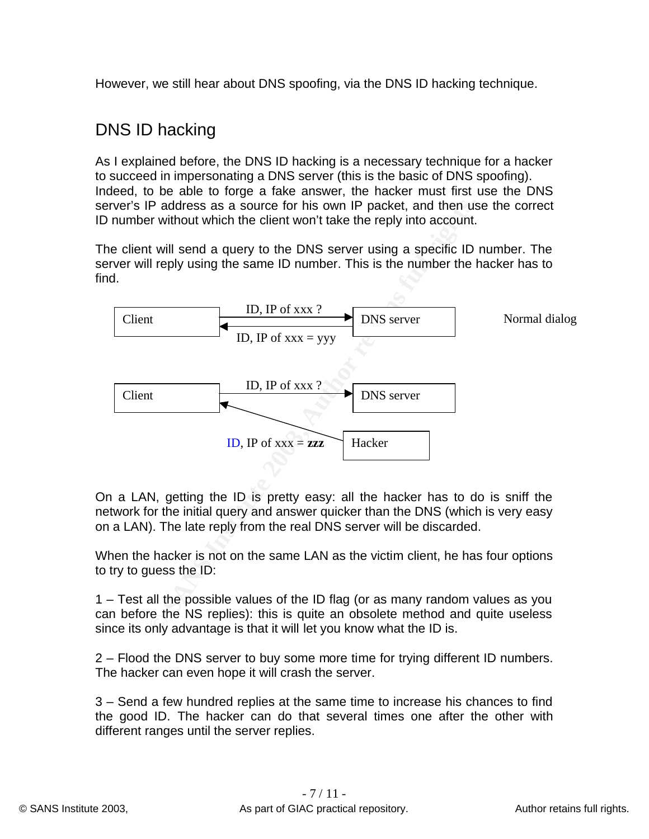However, we still hear about DNS spoofing, via the DNS ID hacking technique.

#### DNS ID hacking

As I explained before, the DNS ID hacking is a necessary technique for a hacker to succeed in impersonating a DNS server (this is the basic of DNS spoofing). Indeed, to be able to forge a fake answer, the hacker must first use the DNS server's IP address as a source for his own IP packet, and then use the correct ID number without which the client won't take the reply into account.

The client will send a query to the DNS server using a specific ID number. The server will reply using the same ID number. This is the number the hacker has to find.



On a LAN, getting the ID is pretty easy: all the hacker has to do is sniff the network for the initial query and answer quicker than the DNS (which is very easy on a LAN). The late reply from the real DNS server will be discarded.

When the hacker is not on the same LAN as the victim client, he has four options to try to guess the ID:

1 – Test all the possible values of the ID flag (or as many random values as you can before the NS replies): this is quite an obsolete method and quite useless since its only advantage is that it will let you know what the ID is.

2 – Flood the DNS server to buy some more time for trying different ID numbers. The hacker can even hope it will crash the server.

3 – Send a few hundred replies at the same time to increase his chances to find the good ID. The hacker can do that several times one after the other with different ranges until the server replies.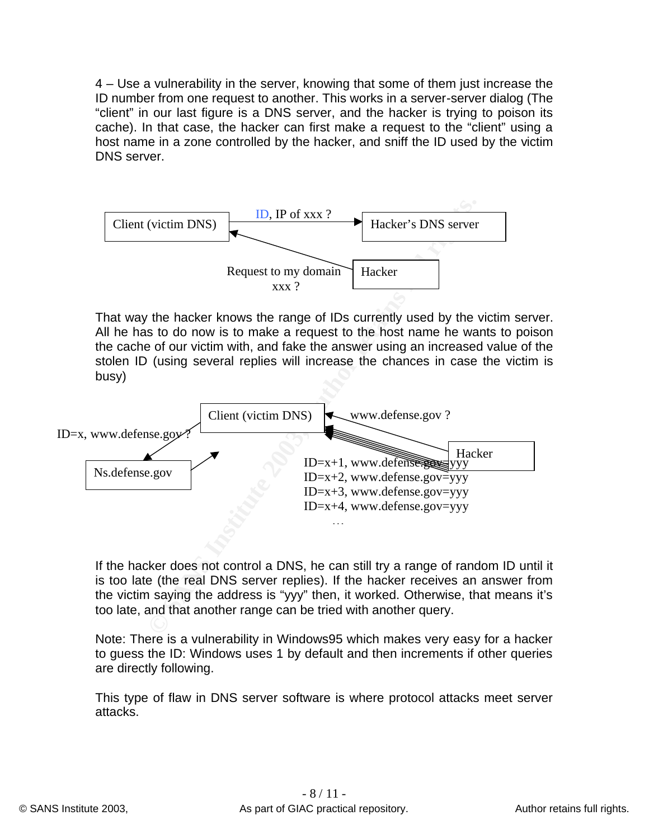4 – Use a vulnerability in the server, knowing that some of them just increase the ID number from one request to another. This works in a server-server dialog (The "client" in our last figure is a DNS server, and the hacker is trying to poison its cache). In that case, the hacker can first make a request to the "client" using a host name in a zone controlled by the hacker, and sniff the ID used by the victim DNS server.



That way the hacker knows the range of IDs currently used by the victim server. All he has to do now is to make a request to the host name he wants to poison the cache of our victim with, and fake the answer using an increased value of the stolen ID (using several replies will increase the chances in case the victim is busy)



If the hacker does not control a DNS, he can still try a range of random ID until it is too late (the real DNS server replies). If the hacker receives an answer from the victim saying the address is "yyy" then, it worked. Otherwise, that means it's too late, and that another range can be tried with another query.

Note: There is a vulnerability in Windows95 which makes very easy for a hacker to guess the ID: Windows uses 1 by default and then increments if other queries are directly following.

This type of flaw in DNS server software is where protocol attacks meet server attacks.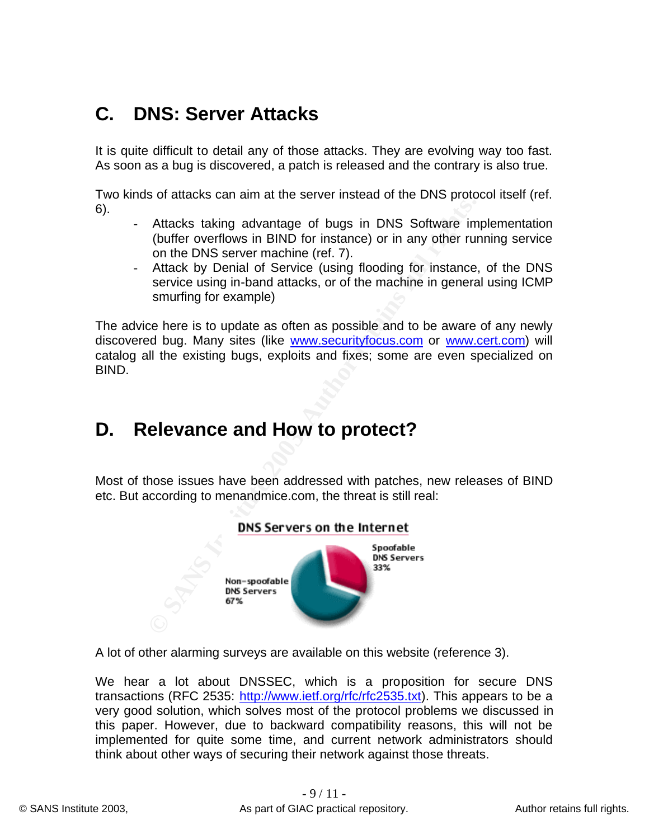### **C. DNS: Server Attacks**

It is quite difficult to detail any of those attacks. They are evolving way too fast. As soon as a bug is discovered, a patch is released and the contrary is also true.

Two kinds of attacks can aim at the server instead of the DNS protocol itself (ref. 6).

- Attacks taking advantage of bugs in DNS Software implementation (buffer overflows in BIND for instance) or in any other running service on the DNS server machine (ref. 7).
- Attack by Denial of Service (using flooding for instance, of the DNS service using in-band attacks, or of the machine in general using ICMP smurfing for example)

The advice here is to update as often as possible and to be aware of any newly discovered bug. Many sites (like www.securityfocus.com or www.cert.com) will catalog all the existing bugs, exploits and fixes; some are even specialized on BIND.

### **D. Relevance and How to protect?**

Most of those issues have been addressed with patches, new releases of BIND etc. But according to menandmice.com, the threat is still real:



A lot of other alarming surveys are available on this website (reference 3).

We hear a lot about DNSSEC, which is a proposition for secure DNS transactions (RFC 2535: http://www.ietf.org/rfc/rfc2535.txt). This appears to be a very good solution, which solves most of the protocol problems we discussed in this paper. However, due to backward compatibility reasons, this will not be implemented for quite some time, and current network administrators should think about other ways of securing their network against those threats.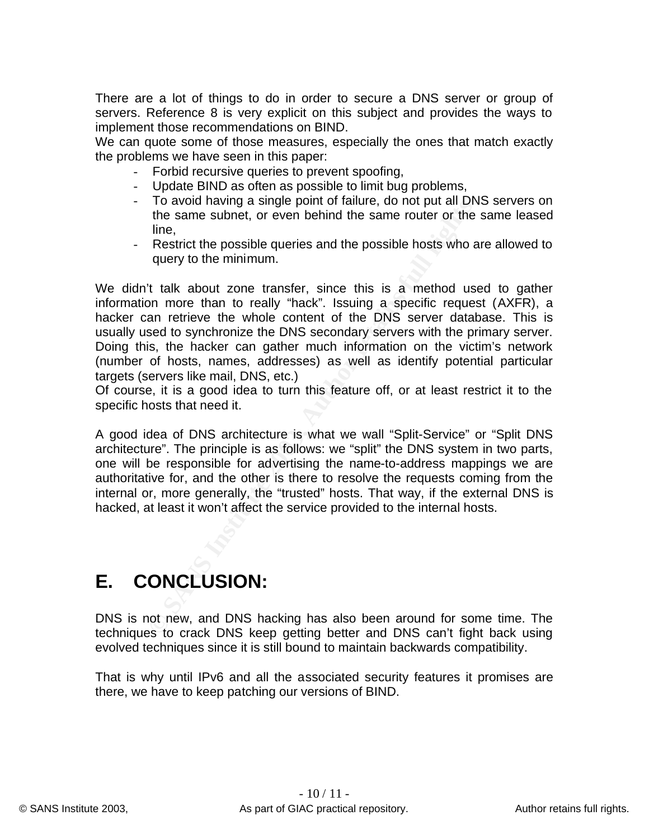There are a lot of things to do in order to secure a DNS server or group of servers. Reference 8 is very explicit on this subject and provides the ways to implement those recommendations on BIND.

We can quote some of those measures, especially the ones that match exactly the problems we have seen in this paper:

- Forbid recursive queries to prevent spoofing,
- Update BIND as often as possible to limit bug problems,
- To avoid having a single point of failure, do not put all DNS servers on the same subnet, or even behind the same router or the same leased line,
- Restrict the possible queries and the possible hosts who are allowed to query to the minimum.

To avoid marries per point of standard the same subset, the same subset, or even behind the same router or the line, Restrict the possible queries and the possible hosts who a query to the minimum.<br>
If the same subset, or We didn't talk about zone transfer, since this is a method used to gather information more than to really "hack". Issuing a specific request (AXFR), a hacker can retrieve the whole content of the DNS server database. This is usually used to synchronize the DNS secondary servers with the primary server. Doing this, the hacker can gather much information on the victim's network (number of hosts, names, addresses) as well as identify potential particular targets (servers like mail, DNS, etc.)

Of course, it is a good idea to turn this feature off, or at least restrict it to the specific hosts that need it.

A good idea of DNS architecture is what we wall "Split-Service" or "Split DNS architecture". The principle is as follows: we "split" the DNS system in two parts, one will be responsible for advertising the name-to-address mappings we are authoritative for, and the other is there to resolve the requests coming from the internal or, more generally, the "trusted" hosts. That way, if the external DNS is hacked, at least it won't affect the service provided to the internal hosts.

### **E. CONCLUSION:**

DNS is not new, and DNS hacking has also been around for some time. The techniques to crack DNS keep getting better and DNS can't fight back using evolved techniques since it is still bound to maintain backwards compatibility.

That is why until IPv6 and all the associated security features it promises are there, we have to keep patching our versions of BIND.